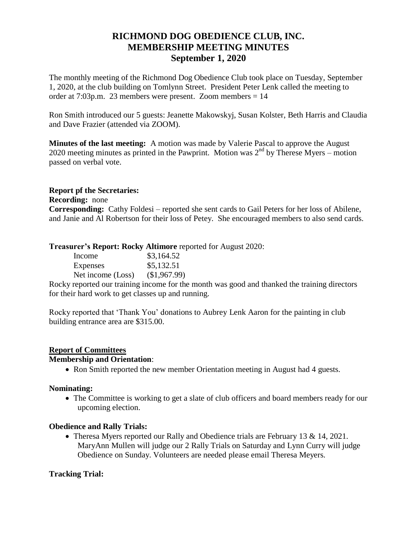# **RICHMOND DOG OBEDIENCE CLUB, INC. MEMBERSHIP MEETING MINUTES September 1, 2020**

The monthly meeting of the Richmond Dog Obedience Club took place on Tuesday, September 1, 2020, at the club building on Tomlynn Street. President Peter Lenk called the meeting to order at 7:03p.m. 23 members were present. Zoom members = 14

Ron Smith introduced our 5 guests: Jeanette Makowskyj, Susan Kolster, Beth Harris and Claudia and Dave Frazier (attended via ZOOM).

**Minutes of the last meeting:** A motion was made by Valerie Pascal to approve the August 2020 meeting minutes as printed in the Pawprint. Motion was  $2<sup>nd</sup>$  by Therese Myers – motion passed on verbal vote.

## **Report pf the Secretaries:**

**Recording:** none

**Corresponding:** Cathy Foldesi – reported she sent cards to Gail Peters for her loss of Abilene, and Janie and Al Robertson for their loss of Petey. She encouraged members to also send cards.

### **Treasurer's Report: Rocky Altimore** reported for August 2020:

| Income            | \$3,164.52   |
|-------------------|--------------|
| Expenses          | \$5,132.51   |
| Net income (Loss) | (\$1,967.99) |

Rocky reported our training income for the month was good and thanked the training directors for their hard work to get classes up and running.

Rocky reported that 'Thank You' donations to Aubrey Lenk Aaron for the painting in club building entrance area are \$315.00.

## **Report of Committees**

#### **Membership and Orientation**:

• Ron Smith reported the new member Orientation meeting in August had 4 guests.

#### **Nominating:**

• The Committee is working to get a slate of club officers and board members ready for our upcoming election.

## **Obedience and Rally Trials:**

• Theresa Myers reported our Rally and Obedience trials are February 13 & 14, 2021. MaryAnn Mullen will judge our 2 Rally Trials on Saturday and Lynn Curry will judge Obedience on Sunday. Volunteers are needed please email Theresa Meyers.

#### **Tracking Trial:**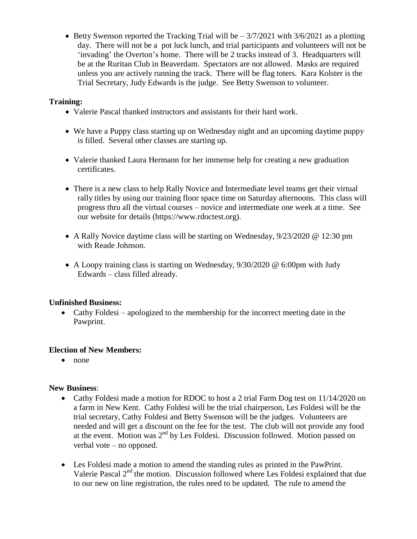$\bullet$  Betty Swenson reported the Tracking Trial will be  $-3/7/2021$  with 3/6/2021 as a plotting day. There will not be a pot luck lunch, and trial participants and volunteers will not be 'invading' the Overton's home. There will be 2 tracks instead of 3. Headquarters will be at the Ruritan Club in Beaverdam. Spectators are not allowed. Masks are required unless you are actively running the track. There will be flag toters. Kara Kolster is the Trial Secretary, Judy Edwards is the judge. See Betty Swenson to volunteer.

## **Training:**

- Valerie Pascal thanked instructors and assistants for their hard work.
- We have a Puppy class starting up on Wednesday night and an upcoming daytime puppy is filled. Several other classes are starting up.
- Valerie thanked Laura Hermann for her immense help for creating a new graduation certificates.
- There is a new class to help Rally Novice and Intermediate level teams get their virtual rally titles by using our training floor space time on Saturday afternoons. This class will progress thru all the virtual courses – novice and intermediate one week at a time. See our website for details (https://www.rdoctest.org).
- A Rally Novice daytime class will be starting on Wednesday, 9/23/2020 @ 12:30 pm with Reade Johnson.
- A Loopy training class is starting on Wednesday, 9/30/2020 @ 6:00pm with Judy Edwards – class filled already.

## **Unfinished Business:**

 Cathy Foldesi – apologized to the membership for the incorrect meeting date in the Pawprint.

## **Election of New Members:**

• none

## **New Business**:

- Cathy Foldesi made a motion for RDOC to host a 2 trial Farm Dog test on 11/14/2020 on a farm in New Kent. Cathy Foldesi will be the trial chairperson, Les Foldesi will be the trial secretary, Cathy Foldesi and Betty Swenson will be the judges. Volunteers are needed and will get a discount on the fee for the test. The club will not provide any food at the event. Motion was  $2<sup>nd</sup>$  by Les Foldesi. Discussion followed. Motion passed on verbal vote – no opposed.
- Les Foldesi made a motion to amend the standing rules as printed in the PawPrint. Valerie Pascal  $2<sup>nd</sup>$  the motion. Discussion followed where Les Foldesi explained that due to our new on line registration, the rules need to be updated. The rule to amend the